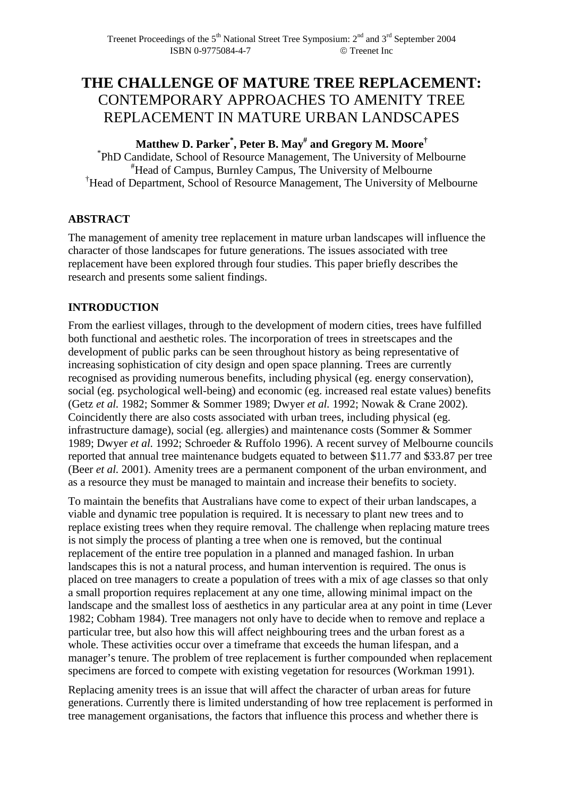# **THE CHALLENGE OF MATURE TREE REPLACEMENT:**  CONTEMPORARY APPROACHES TO AMENITY TREE REPLACEMENT IN MATURE URBAN LANDSCAPES

**Matthew D. Parker\* , Peter B. May# and Gregory M. Moore†** \* PhD Candidate, School of Resource Management, The University of Melbourne #Head of Campus, Burnley Campus, The University of Melbourne <sup>†</sup>Head of Department, School of Resource Management, The University of Melbourne

## **ABSTRACT**

The management of amenity tree replacement in mature urban landscapes will influence the character of those landscapes for future generations. The issues associated with tree replacement have been explored through four studies. This paper briefly describes the research and presents some salient findings.

#### **INTRODUCTION**

From the earliest villages, through to the development of modern cities, trees have fulfilled both functional and aesthetic roles. The incorporation of trees in streetscapes and the development of public parks can be seen throughout history as being representative of increasing sophistication of city design and open space planning. Trees are currently recognised as providing numerous benefits, including physical (eg. energy conservation), social (eg. psychological well-being) and economic (eg. increased real estate values) benefits (Getz *et al.* 1982; Sommer & Sommer 1989; Dwyer *et al.* 1992; Nowak & Crane 2002). Coincidently there are also costs associated with urban trees, including physical (eg. infrastructure damage), social (eg. allergies) and maintenance costs (Sommer & Sommer 1989; Dwyer *et al.* 1992; Schroeder & Ruffolo 1996). A recent survey of Melbourne councils reported that annual tree maintenance budgets equated to between \$11.77 and \$33.87 per tree (Beer *et al.* 2001). Amenity trees are a permanent component of the urban environment, and as a resource they must be managed to maintain and increase their benefits to society.

To maintain the benefits that Australians have come to expect of their urban landscapes, a viable and dynamic tree population is required. It is necessary to plant new trees and to replace existing trees when they require removal. The challenge when replacing mature trees is not simply the process of planting a tree when one is removed, but the continual replacement of the entire tree population in a planned and managed fashion. In urban landscapes this is not a natural process, and human intervention is required. The onus is placed on tree managers to create a population of trees with a mix of age classes so that only a small proportion requires replacement at any one time, allowing minimal impact on the landscape and the smallest loss of aesthetics in any particular area at any point in time (Lever 1982; Cobham 1984). Tree managers not only have to decide when to remove and replace a particular tree, but also how this will affect neighbouring trees and the urban forest as a whole. These activities occur over a timeframe that exceeds the human lifespan, and a manager's tenure. The problem of tree replacement is further compounded when replacement specimens are forced to compete with existing vegetation for resources (Workman 1991).

Replacing amenity trees is an issue that will affect the character of urban areas for future generations. Currently there is limited understanding of how tree replacement is performed in tree management organisations, the factors that influence this process and whether there is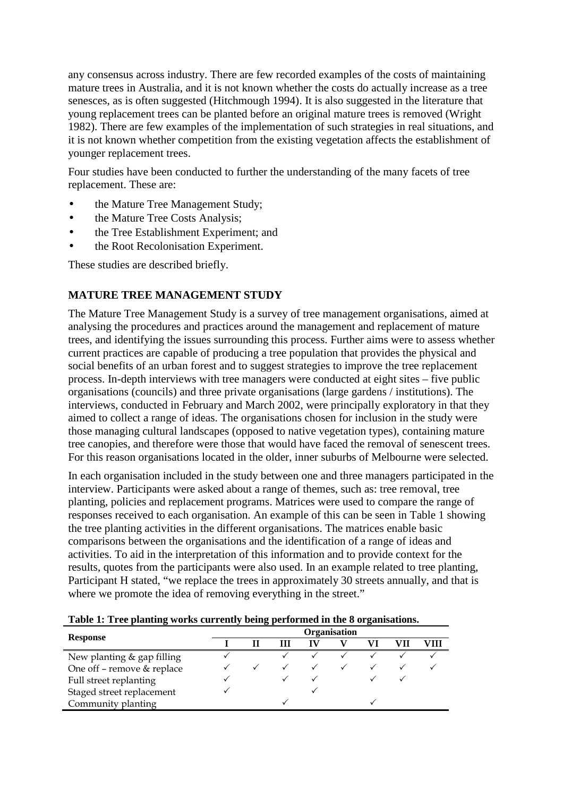any consensus across industry. There are few recorded examples of the costs of maintaining mature trees in Australia, and it is not known whether the costs do actually increase as a tree senesces, as is often suggested (Hitchmough 1994). It is also suggested in the literature that young replacement trees can be planted before an original mature trees is removed (Wright 1982). There are few examples of the implementation of such strategies in real situations, and it is not known whether competition from the existing vegetation affects the establishment of younger replacement trees.

Four studies have been conducted to further the understanding of the many facets of tree replacement. These are:

- the Mature Tree Management Study;
- the Mature Tree Costs Analysis;
- the Tree Establishment Experiment; and
- the Root Recolonisation Experiment.

These studies are described briefly.

# **MATURE TREE MANAGEMENT STUDY**

The Mature Tree Management Study is a survey of tree management organisations, aimed at analysing the procedures and practices around the management and replacement of mature trees, and identifying the issues surrounding this process. Further aims were to assess whether current practices are capable of producing a tree population that provides the physical and social benefits of an urban forest and to suggest strategies to improve the tree replacement process. In-depth interviews with tree managers were conducted at eight sites – five public organisations (councils) and three private organisations (large gardens / institutions). The interviews, conducted in February and March 2002, were principally exploratory in that they aimed to collect a range of ideas. The organisations chosen for inclusion in the study were those managing cultural landscapes (opposed to native vegetation types), containing mature tree canopies, and therefore were those that would have faced the removal of senescent trees. For this reason organisations located in the older, inner suburbs of Melbourne were selected.

In each organisation included in the study between one and three managers participated in the interview. Participants were asked about a range of themes, such as: tree removal, tree planting, policies and replacement programs. Matrices were used to compare the range of responses received to each organisation. An example of this can be seen in Table 1 showing the tree planting activities in the different organisations. The matrices enable basic comparisons between the organisations and the identification of a range of ideas and activities. To aid in the interpretation of this information and to provide context for the results, quotes from the participants were also used. In an example related to tree planting, Participant H stated, "we replace the trees in approximately 30 streets annually, and that is where we promote the idea of removing everything in the street."

| Table 1. Tree planning works currently being performed in the 6 organisations. |                     |  |  |  |  |  |  |  |
|--------------------------------------------------------------------------------|---------------------|--|--|--|--|--|--|--|
| <b>Response</b>                                                                | <b>Organisation</b> |  |  |  |  |  |  |  |
|                                                                                |                     |  |  |  |  |  |  |  |
| New planting & gap filling                                                     |                     |  |  |  |  |  |  |  |
| One off - remove & replace                                                     |                     |  |  |  |  |  |  |  |
| Full street replanting                                                         |                     |  |  |  |  |  |  |  |
| Staged street replacement                                                      |                     |  |  |  |  |  |  |  |
| Community planting                                                             |                     |  |  |  |  |  |  |  |

**Table 1: Tree planting works currently being performed in the 8 organisations.**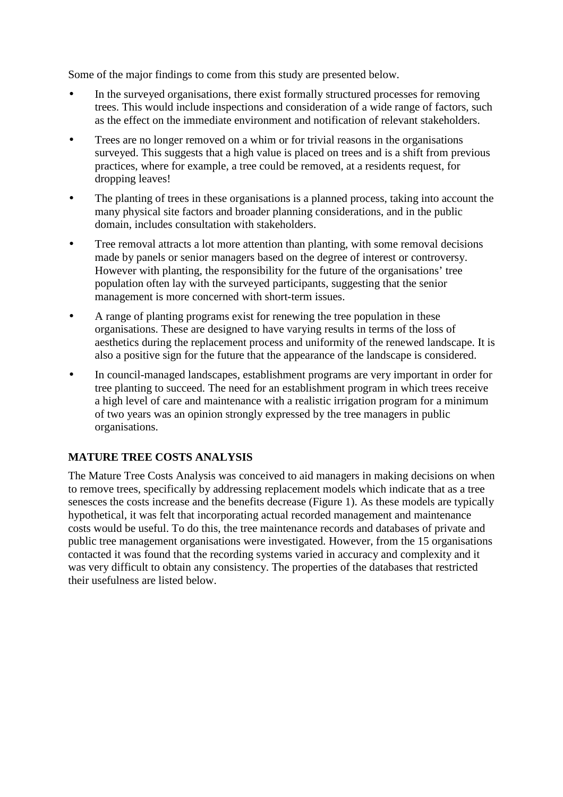Some of the major findings to come from this study are presented below.

- In the surveyed organisations, there exist formally structured processes for removing trees. This would include inspections and consideration of a wide range of factors, such as the effect on the immediate environment and notification of relevant stakeholders.
- Trees are no longer removed on a whim or for trivial reasons in the organisations surveyed. This suggests that a high value is placed on trees and is a shift from previous practices, where for example, a tree could be removed, at a residents request, for dropping leaves!
- The planting of trees in these organisations is a planned process, taking into account the many physical site factors and broader planning considerations, and in the public domain, includes consultation with stakeholders.
- Tree removal attracts a lot more attention than planting, with some removal decisions made by panels or senior managers based on the degree of interest or controversy. However with planting, the responsibility for the future of the organisations' tree population often lay with the surveyed participants, suggesting that the senior management is more concerned with short-term issues.
- A range of planting programs exist for renewing the tree population in these organisations. These are designed to have varying results in terms of the loss of aesthetics during the replacement process and uniformity of the renewed landscape. It is also a positive sign for the future that the appearance of the landscape is considered.
- In council-managed landscapes, establishment programs are very important in order for tree planting to succeed. The need for an establishment program in which trees receive a high level of care and maintenance with a realistic irrigation program for a minimum of two years was an opinion strongly expressed by the tree managers in public organisations.

# **MATURE TREE COSTS ANALYSIS**

The Mature Tree Costs Analysis was conceived to aid managers in making decisions on when to remove trees, specifically by addressing replacement models which indicate that as a tree senesces the costs increase and the benefits decrease (Figure 1). As these models are typically hypothetical, it was felt that incorporating actual recorded management and maintenance costs would be useful. To do this, the tree maintenance records and databases of private and public tree management organisations were investigated. However, from the 15 organisations contacted it was found that the recording systems varied in accuracy and complexity and it was very difficult to obtain any consistency. The properties of the databases that restricted their usefulness are listed below.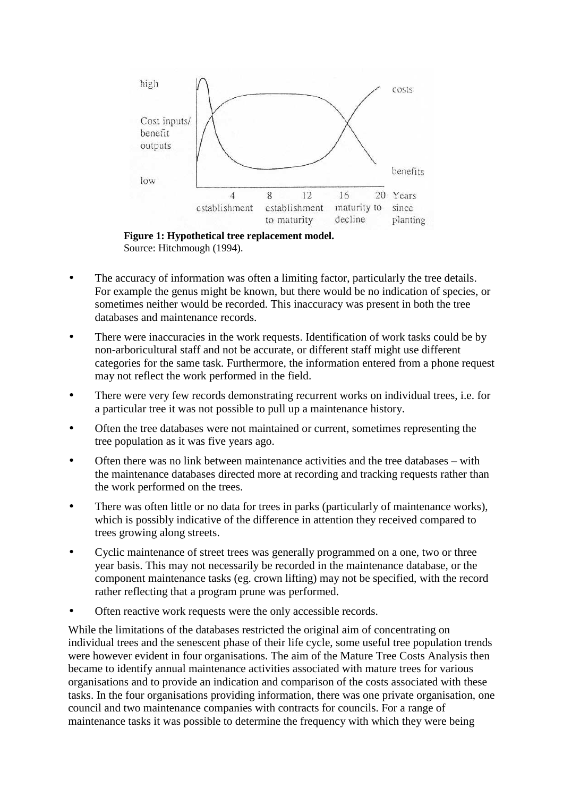

**Figure 1: Hypothetical tree replacement model.**  Source: Hitchmough (1994).

- The accuracy of information was often a limiting factor, particularly the tree details. For example the genus might be known, but there would be no indication of species, or sometimes neither would be recorded. This inaccuracy was present in both the tree databases and maintenance records.
- There were inaccuracies in the work requests. Identification of work tasks could be by non-arboricultural staff and not be accurate, or different staff might use different categories for the same task. Furthermore, the information entered from a phone request may not reflect the work performed in the field.
- There were very few records demonstrating recurrent works on individual trees, i.e. for a particular tree it was not possible to pull up a maintenance history.
- Often the tree databases were not maintained or current, sometimes representing the tree population as it was five years ago.
- Often there was no link between maintenance activities and the tree databases with the maintenance databases directed more at recording and tracking requests rather than the work performed on the trees.
- There was often little or no data for trees in parks (particularly of maintenance works). which is possibly indicative of the difference in attention they received compared to trees growing along streets.
- Cyclic maintenance of street trees was generally programmed on a one, two or three year basis. This may not necessarily be recorded in the maintenance database, or the component maintenance tasks (eg. crown lifting) may not be specified, with the record rather reflecting that a program prune was performed.
- Often reactive work requests were the only accessible records.

While the limitations of the databases restricted the original aim of concentrating on individual trees and the senescent phase of their life cycle, some useful tree population trends were however evident in four organisations. The aim of the Mature Tree Costs Analysis then became to identify annual maintenance activities associated with mature trees for various organisations and to provide an indication and comparison of the costs associated with these tasks. In the four organisations providing information, there was one private organisation, one council and two maintenance companies with contracts for councils. For a range of maintenance tasks it was possible to determine the frequency with which they were being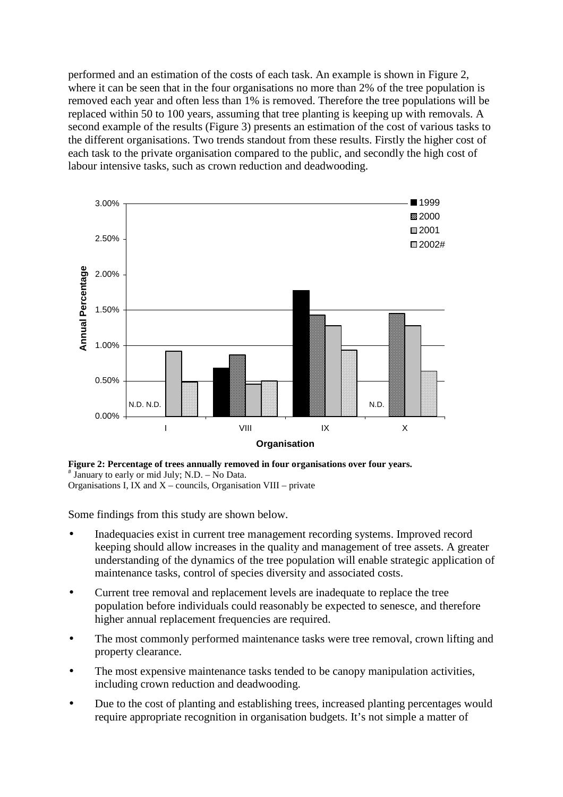performed and an estimation of the costs of each task. An example is shown in Figure 2, where it can be seen that in the four organisations no more than 2% of the tree population is removed each year and often less than 1% is removed. Therefore the tree populations will be replaced within 50 to 100 years, assuming that tree planting is keeping up with removals. A second example of the results (Figure 3) presents an estimation of the cost of various tasks to the different organisations. Two trends standout from these results. Firstly the higher cost of each task to the private organisation compared to the public, and secondly the high cost of labour intensive tasks, such as crown reduction and deadwooding.



**Figure 2: Percentage of trees annually removed in four organisations over four years.**  # January to early or mid July; N.D. – No Data. Organisations I, IX and X – councils, Organisation VIII – private

Some findings from this study are shown below.

- Inadequacies exist in current tree management recording systems. Improved record keeping should allow increases in the quality and management of tree assets. A greater understanding of the dynamics of the tree population will enable strategic application of maintenance tasks, control of species diversity and associated costs.
- Current tree removal and replacement levels are inadequate to replace the tree population before individuals could reasonably be expected to senesce, and therefore higher annual replacement frequencies are required.
- The most commonly performed maintenance tasks were tree removal, crown lifting and property clearance.
- The most expensive maintenance tasks tended to be canopy manipulation activities, including crown reduction and deadwooding.
- Due to the cost of planting and establishing trees, increased planting percentages would require appropriate recognition in organisation budgets. It's not simple a matter of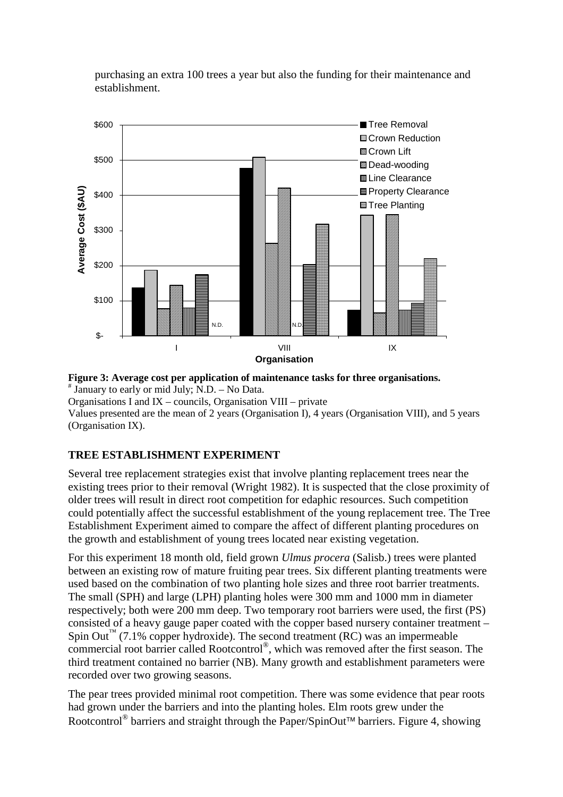purchasing an extra 100 trees a year but also the funding for their maintenance and establishment.



**Figure 3: Average cost per application of maintenance tasks for three organisations.**  # January to early or mid July; N.D. – No Data.

Organisations I and IX – councils, Organisation VIII – private

Values presented are the mean of 2 years (Organisation I), 4 years (Organisation VIII), and 5 years (Organisation IX).

# **TREE ESTABLISHMENT EXPERIMENT**

Several tree replacement strategies exist that involve planting replacement trees near the existing trees prior to their removal (Wright 1982). It is suspected that the close proximity of older trees will result in direct root competition for edaphic resources. Such competition could potentially affect the successful establishment of the young replacement tree. The Tree Establishment Experiment aimed to compare the affect of different planting procedures on the growth and establishment of young trees located near existing vegetation.

For this experiment 18 month old, field grown *Ulmus procera* (Salisb.) trees were planted between an existing row of mature fruiting pear trees. Six different planting treatments were used based on the combination of two planting hole sizes and three root barrier treatments. The small (SPH) and large (LPH) planting holes were 300 mm and 1000 mm in diameter respectively; both were 200 mm deep. Two temporary root barriers were used, the first (PS) consisted of a heavy gauge paper coated with the copper based nursery container treatment – Spin Out<sup>™</sup> (7.1% copper hydroxide). The second treatment (RC) was an impermeable commercial root barrier called Rootcontrol® , which was removed after the first season. The third treatment contained no barrier (NB). Many growth and establishment parameters were recorded over two growing seasons.

The pear trees provided minimal root competition. There was some evidence that pear roots had grown under the barriers and into the planting holes. Elm roots grew under the Rootcontrol® barriers and straight through the Paper/SpinOut<sup>™</sup> barriers. Figure 4, showing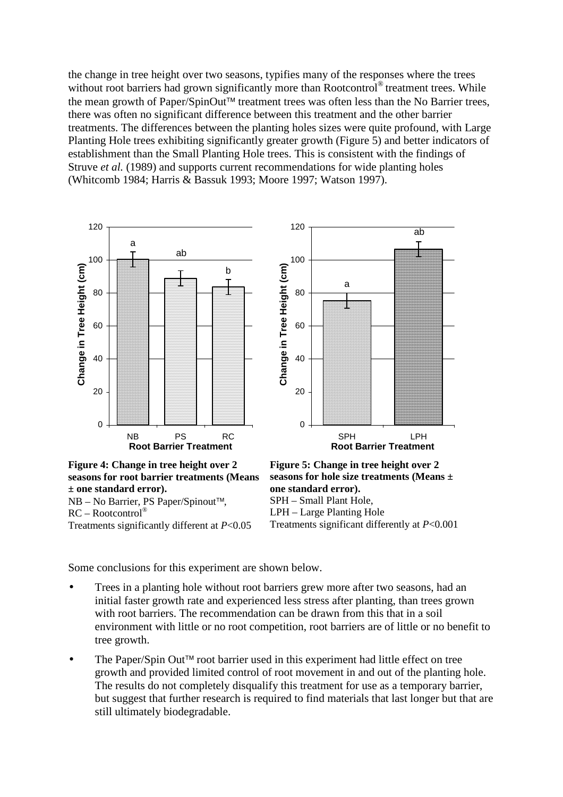the change in tree height over two seasons, typifies many of the responses where the trees without root barriers had grown significantly more than Rootcontrol<sup>®</sup> treatment trees. While the mean growth of Paper/SpinOut™ treatment trees was often less than the No Barrier trees, there was often no significant difference between this treatment and the other barrier treatments. The differences between the planting holes sizes were quite profound, with Large Planting Hole trees exhibiting significantly greater growth (Figure 5) and better indicators of establishment than the Small Planting Hole trees. This is consistent with the findings of Struve *et al.* (1989) and supports current recommendations for wide planting holes (Whitcomb 1984; Harris & Bassuk 1993; Moore 1997; Watson 1997).



 $RC - Rootcontrol^{\circledR}$ Treatments significantly different at *P*<0.05 LPH – Large Planting Hole Treatments significant differently at *P*<0.001

Some conclusions for this experiment are shown below.

- Trees in a planting hole without root barriers grew more after two seasons, had an initial faster growth rate and experienced less stress after planting, than trees grown with root barriers. The recommendation can be drawn from this that in a soil environment with little or no root competition, root barriers are of little or no benefit to tree growth.
- The Paper/Spin Out<sup> $\text{TM}$ </sup> root barrier used in this experiment had little effect on tree growth and provided limited control of root movement in and out of the planting hole. The results do not completely disqualify this treatment for use as a temporary barrier, but suggest that further research is required to find materials that last longer but that are still ultimately biodegradable.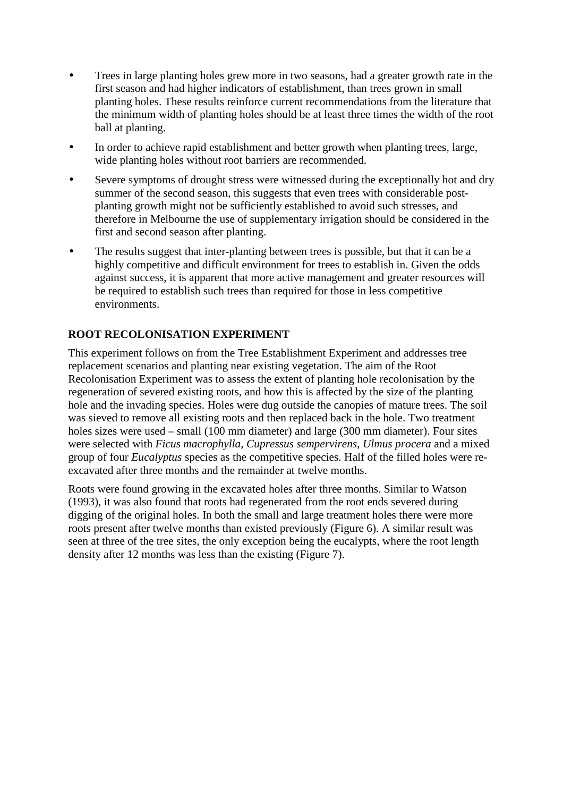- Trees in large planting holes grew more in two seasons, had a greater growth rate in the first season and had higher indicators of establishment, than trees grown in small planting holes. These results reinforce current recommendations from the literature that the minimum width of planting holes should be at least three times the width of the root ball at planting.
- In order to achieve rapid establishment and better growth when planting trees, large, wide planting holes without root barriers are recommended.
- Severe symptoms of drought stress were witnessed during the exceptionally hot and dry summer of the second season, this suggests that even trees with considerable postplanting growth might not be sufficiently established to avoid such stresses, and therefore in Melbourne the use of supplementary irrigation should be considered in the first and second season after planting.
- The results suggest that inter-planting between trees is possible, but that it can be a highly competitive and difficult environment for trees to establish in. Given the odds against success, it is apparent that more active management and greater resources will be required to establish such trees than required for those in less competitive environments.

## **ROOT RECOLONISATION EXPERIMENT**

This experiment follows on from the Tree Establishment Experiment and addresses tree replacement scenarios and planting near existing vegetation. The aim of the Root Recolonisation Experiment was to assess the extent of planting hole recolonisation by the regeneration of severed existing roots, and how this is affected by the size of the planting hole and the invading species. Holes were dug outside the canopies of mature trees. The soil was sieved to remove all existing roots and then replaced back in the hole. Two treatment holes sizes were used – small (100 mm diameter) and large (300 mm diameter). Four sites were selected with *Ficus macrophylla*, *Cupressus sempervirens*, *Ulmus procera* and a mixed group of four *Eucalyptus* species as the competitive species. Half of the filled holes were reexcavated after three months and the remainder at twelve months.

Roots were found growing in the excavated holes after three months. Similar to Watson (1993), it was also found that roots had regenerated from the root ends severed during digging of the original holes. In both the small and large treatment holes there were more roots present after twelve months than existed previously (Figure 6). A similar result was seen at three of the tree sites, the only exception being the eucalypts, where the root length density after 12 months was less than the existing (Figure 7).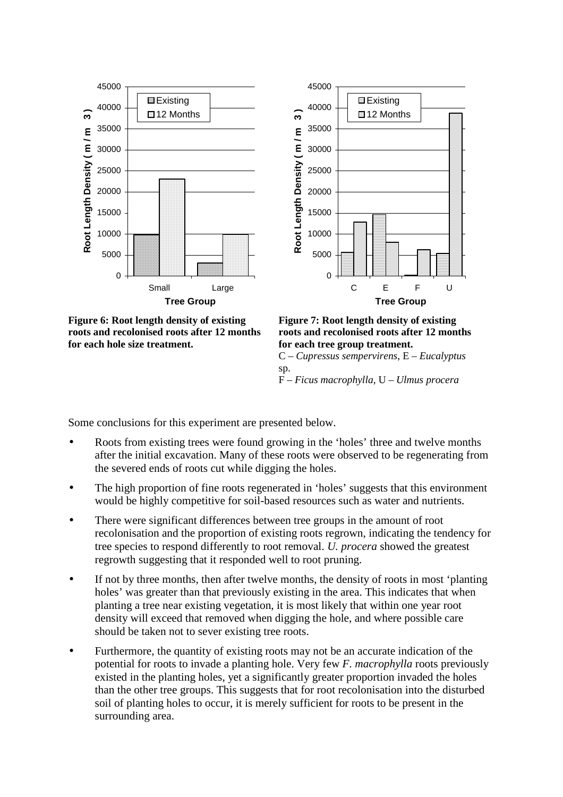

**Figure 6: Root length density of existing roots and recolonised roots after 12 months for each hole size treatment.** 

**Figure 7: Root length density of existing roots and recolonised roots after 12 months for each tree group treatment.** C – *Cupressus sempervirens*, E – *Eucalyptus*

sp.

F – *Ficus macrophylla*, U – *Ulmus procera*

Some conclusions for this experiment are presented below.

- Roots from existing trees were found growing in the 'holes' three and twelve months after the initial excavation. Many of these roots were observed to be regenerating from the severed ends of roots cut while digging the holes.
- The high proportion of fine roots regenerated in 'holes' suggests that this environment would be highly competitive for soil-based resources such as water and nutrients.
- There were significant differences between tree groups in the amount of root recolonisation and the proportion of existing roots regrown, indicating the tendency for tree species to respond differently to root removal. *U. procera* showed the greatest regrowth suggesting that it responded well to root pruning.
- If not by three months, then after twelve months, the density of roots in most 'planting holes' was greater than that previously existing in the area. This indicates that when planting a tree near existing vegetation, it is most likely that within one year root density will exceed that removed when digging the hole, and where possible care should be taken not to sever existing tree roots.
- Furthermore, the quantity of existing roots may not be an accurate indication of the potential for roots to invade a planting hole. Very few *F. macrophylla* roots previously existed in the planting holes, yet a significantly greater proportion invaded the holes than the other tree groups. This suggests that for root recolonisation into the disturbed soil of planting holes to occur, it is merely sufficient for roots to be present in the surrounding area.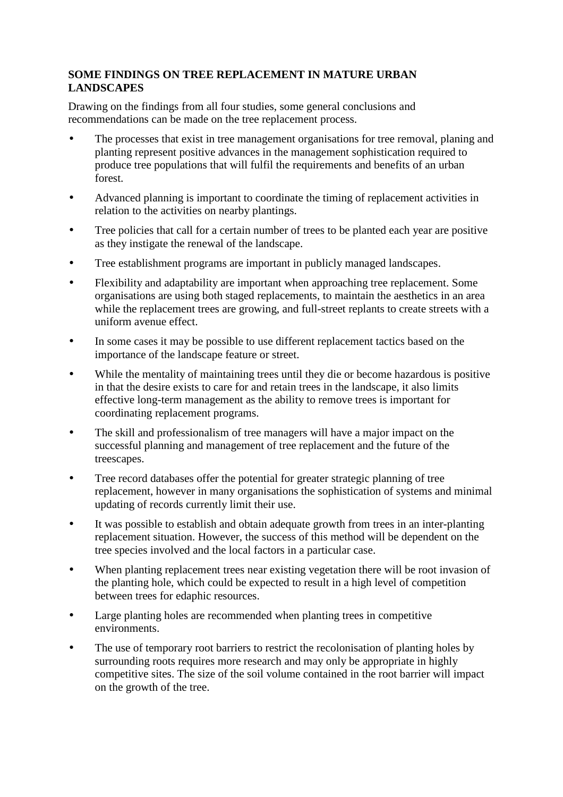#### **SOME FINDINGS ON TREE REPLACEMENT IN MATURE URBAN LANDSCAPES**

Drawing on the findings from all four studies, some general conclusions and recommendations can be made on the tree replacement process.

- The processes that exist in tree management organisations for tree removal, planing and planting represent positive advances in the management sophistication required to produce tree populations that will fulfil the requirements and benefits of an urban forest.
- Advanced planning is important to coordinate the timing of replacement activities in relation to the activities on nearby plantings.
- Tree policies that call for a certain number of trees to be planted each year are positive as they instigate the renewal of the landscape.
- Tree establishment programs are important in publicly managed landscapes.
- Flexibility and adaptability are important when approaching tree replacement. Some organisations are using both staged replacements, to maintain the aesthetics in an area while the replacement trees are growing, and full-street replants to create streets with a uniform avenue effect.
- In some cases it may be possible to use different replacement tactics based on the importance of the landscape feature or street.
- While the mentality of maintaining trees until they die or become hazardous is positive in that the desire exists to care for and retain trees in the landscape, it also limits effective long-term management as the ability to remove trees is important for coordinating replacement programs.
- The skill and professionalism of tree managers will have a major impact on the successful planning and management of tree replacement and the future of the treescapes.
- Tree record databases offer the potential for greater strategic planning of tree replacement, however in many organisations the sophistication of systems and minimal updating of records currently limit their use.
- It was possible to establish and obtain adequate growth from trees in an inter-planting replacement situation. However, the success of this method will be dependent on the tree species involved and the local factors in a particular case.
- When planting replacement trees near existing vegetation there will be root invasion of the planting hole, which could be expected to result in a high level of competition between trees for edaphic resources.
- Large planting holes are recommended when planting trees in competitive environments.
- The use of temporary root barriers to restrict the recolonisation of planting holes by surrounding roots requires more research and may only be appropriate in highly competitive sites. The size of the soil volume contained in the root barrier will impact on the growth of the tree.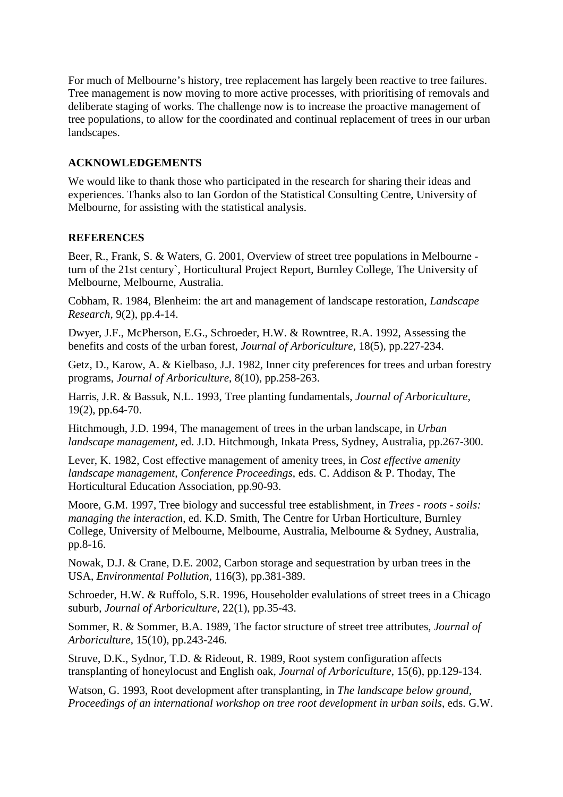For much of Melbourne's history, tree replacement has largely been reactive to tree failures. Tree management is now moving to more active processes, with prioritising of removals and deliberate staging of works. The challenge now is to increase the proactive management of tree populations, to allow for the coordinated and continual replacement of trees in our urban landscapes.

## **ACKNOWLEDGEMENTS**

We would like to thank those who participated in the research for sharing their ideas and experiences. Thanks also to Ian Gordon of the Statistical Consulting Centre, University of Melbourne, for assisting with the statistical analysis.

#### **REFERENCES**

Beer, R., Frank, S. & Waters, G. 2001, Overview of street tree populations in Melbourne turn of the 21st century`, Horticultural Project Report, Burnley College, The University of Melbourne, Melbourne, Australia.

Cobham, R. 1984, Blenheim: the art and management of landscape restoration, *Landscape Research*, 9(2), pp.4-14.

Dwyer, J.F., McPherson, E.G., Schroeder, H.W. & Rowntree, R.A. 1992, Assessing the benefits and costs of the urban forest, *Journal of Arboriculture*, 18(5), pp.227-234.

Getz, D., Karow, A. & Kielbaso, J.J. 1982, Inner city preferences for trees and urban forestry programs, *Journal of Arboriculture*, 8(10), pp.258-263.

Harris, J.R. & Bassuk, N.L. 1993, Tree planting fundamentals, *Journal of Arboriculture*, 19(2), pp.64-70.

Hitchmough, J.D. 1994, The management of trees in the urban landscape, in *Urban landscape management*, ed. J.D. Hitchmough, Inkata Press, Sydney, Australia, pp.267-300.

Lever, K. 1982, Cost effective management of amenity trees, in *Cost effective amenity landscape management, Conference Proceedings*, eds. C. Addison & P. Thoday, The Horticultural Education Association, pp.90-93.

Moore, G.M. 1997, Tree biology and successful tree establishment, in *Trees - roots - soils: managing the interaction*, ed. K.D. Smith, The Centre for Urban Horticulture, Burnley College, University of Melbourne, Melbourne, Australia, Melbourne & Sydney, Australia, pp.8-16.

Nowak, D.J. & Crane, D.E. 2002, Carbon storage and sequestration by urban trees in the USA, *Environmental Pollution*, 116(3), pp.381-389.

Schroeder, H.W. & Ruffolo, S.R. 1996, Householder evalulations of street trees in a Chicago suburb, *Journal of Arboriculture*, 22(1), pp.35-43.

Sommer, R. & Sommer, B.A. 1989, The factor structure of street tree attributes, *Journal of Arboriculture*, 15(10), pp.243-246.

Struve, D.K., Sydnor, T.D. & Rideout, R. 1989, Root system configuration affects transplanting of honeylocust and English oak, *Journal of Arboriculture*, 15(6), pp.129-134.

Watson, G. 1993, Root development after transplanting, in *The landscape below ground, Proceedings of an international workshop on tree root development in urban soils*, eds. G.W.